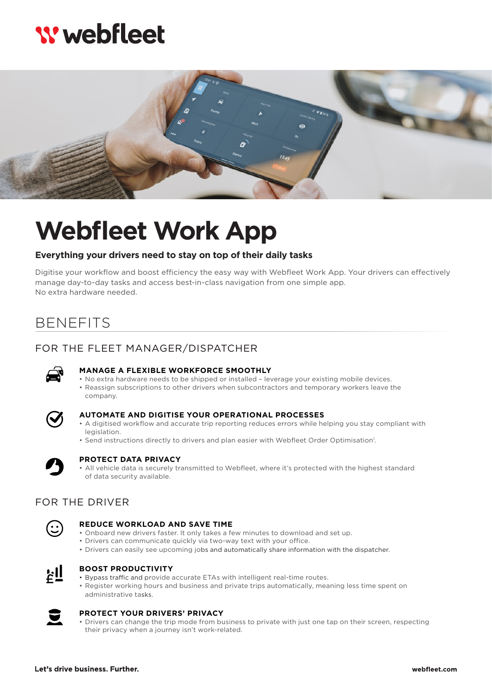# **W** webfleet



# **Webfleet Work App**

#### **Everything your drivers need to stay on top of their daily tasks**

Digitise your workflow and boost efficiency the easy way with Webfleet Work App. Your drivers can effectively manage day-to-day tasks and access best-in-class navigation from one simple app. No extra hardware needed.

## BENEFITS

### FOR THE FLEET MANAGER/DISPATCHER



#### **MANAGE A FLEXIBLE WORKFORCE SMOOTHLY**

• No extra hardware needs to be shipped or installed – leverage your existing mobile devices. • Reassign subscriptions to other drivers when subcontractors and temporary workers leave the company.



#### **AUTOMATE AND DIGITISE YOUR OPERATIONAL PROCESSES**

- A digitised workflow and accurate trip reporting reduces errors while helping you stay compliant with legislation.
- Send instructions directly to drivers and plan easier with Webfleet Order Optimisation<sup>1</sup>.



#### **PROTECT DATA PRIVACY**

• All vehicle data is securely transmitted to Webfleet, where it's protected with the highest standard of data security available.

## FOR THE DRIVER



#### **REDUCE WORKLOAD AND SAVE TIME**

- Onboard new drivers faster. It only takes a few minutes to download and set up.
- Drivers can communicate quickly via two-way text with your office.
- Drivers can easily see upcoming jobs and automatically share information with the dispatcher.



#### **BOOST PRODUCTIVITY**

- Bypass traffic and provide accurate ETAs with intelligent real-time routes.
- Register working hours and business and private trips automatically, meaning less time spent on administrative tasks.



#### **PROTECT YOUR DRIVERS' PRIVACY**

• Drivers can change the trip mode from business to private with just one tap on their screen, respecting their privacy when a journey isn't work-related.